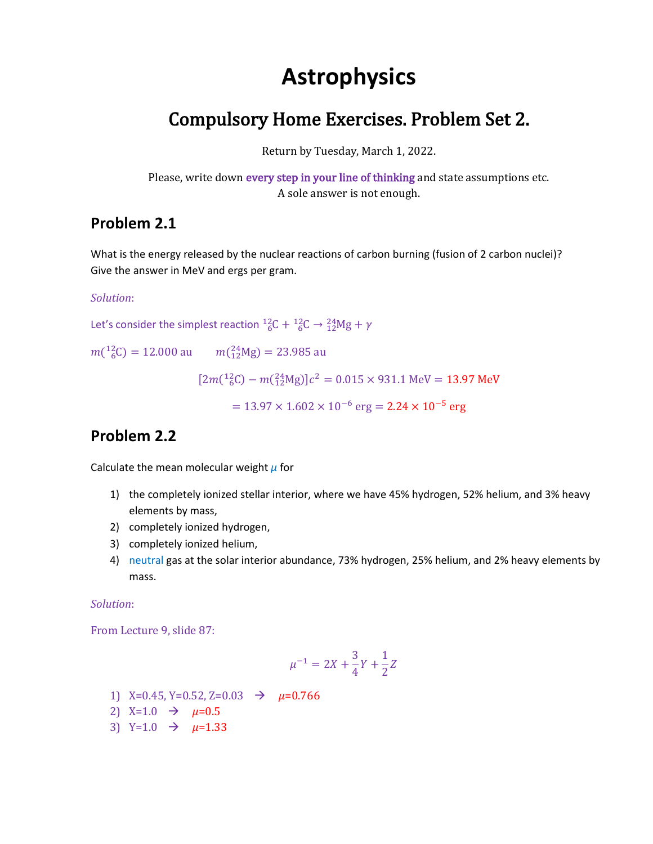# **Astrophysics**

# Compulsory Home Exercises. Problem Set 2.

Return by Tuesday, March 1, 2022.

Please, write down every step in your line of thinking and state assumptions etc. A sole answer is not enough.

### **Problem 2.1**

What is the energy released by the nuclear reactions of carbon burning (fusion of 2 carbon nuclei)? Give the answer in MeV and ergs per gram.

#### *Solution*:

Let's consider the simplest reaction  ${}^{12}_{6}C + {}^{12}_{6}C \rightarrow {}^{24}_{12}Mg + \gamma$ 

 $m(^{12}_{6}C) = 12.000$  au  $m(^{24}_{12}Mg) = 23.985$  au

 $[2m(^{12}_{6}C) - m(^{24}_{12}Mg)]c^{2} = 0.015 \times 931.1 \text{ MeV} = 13.97 \text{ MeV}$ 

 $= 13.97 \times 1.602 \times 10^{-6}$  erg  $= 2.24 \times 10^{-5}$  erg

### **Problem 2.2**

Calculate the mean molecular weight *μ* for

- 1) the completely ionized stellar interior, where we have 45% hydrogen, 52% helium, and 3% heavy elements by mass,
- 2) completely ionized hydrogen,
- 3) completely ionized helium,
- 4) neutral gas at the solar interior abundance, 73% hydrogen, 25% helium, and 2% heavy elements by mass.

#### *Solution*:

From Lecture 9, slide 87:

$$
\mu^{-1} = 2X + \frac{3}{4}Y + \frac{1}{2}Z
$$

- 1) X=0.45, Y=0.52, Z=0.03 → *µ*=0.766
- 2)  $X=1.0 \rightarrow \mu=0.5$
- 3)  $Y=1.0 \rightarrow \mu=1.33$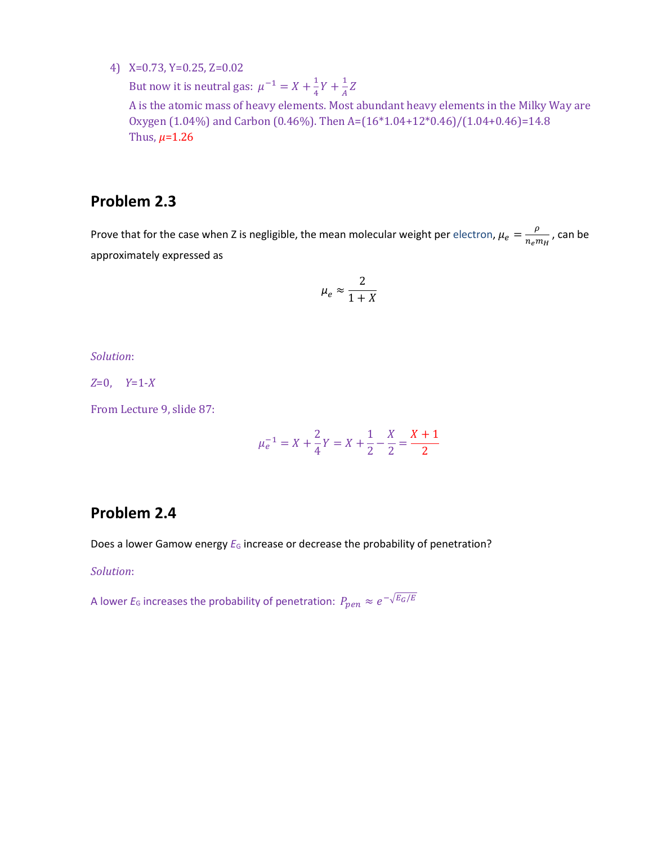4) X=0.73, Y=0.25, Z=0.02

But now it is neutral gas:  $\mu^{-1} = X + \frac{1}{4}$  $\frac{1}{4}Y + \frac{1}{4}$  $\frac{1}{A}Z$ 

A is the atomic mass of heavy elements. Most abundant heavy elements in the Milky Way are Oxygen (1.04%) and Carbon (0.46%). Then A=(16\*1.04+12\*0.46)/(1.04+0.46)=14.8 Thus,  $\mu = 1.26$ 

### **Problem 2.3**

Prove that for the case when Z is negligible, the mean molecular weight per electron,  $\mu_e = \frac{\rho}{n}$  $\frac{\rho}{n_e m_H}$ , can be approximately expressed as

$$
\mu_e \approx \frac{2}{1+X}
$$

*Solution*:

*Z*=0, *Y*=1-*X*

From Lecture 9, slide 87:

$$
\mu_e^{-1} = X + \frac{2}{4}Y = X + \frac{1}{2} - \frac{X}{2} = \frac{X+1}{2}
$$

### **Problem 2.4**

Does a lower Gamow energy  $E_G$  increase or decrease the probability of penetration?

#### *Solution*:

A lower  $E_6$  increases the probability of penetration:  $P_{pen}\approx e^{-\sqrt{E_G/E}}$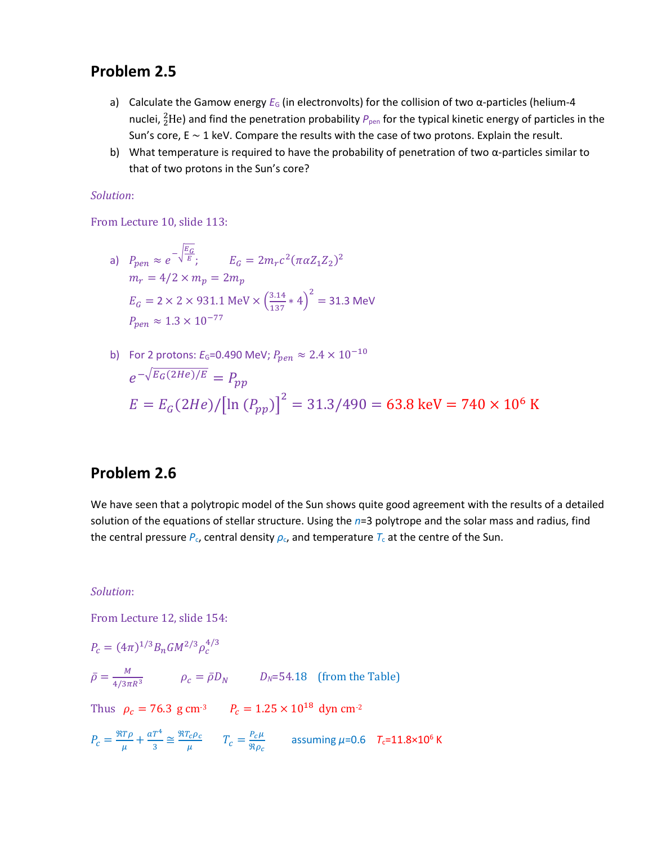### **Problem 2.5**

- a) Calculate the Gamow energy *E*<sub>G</sub> (in electronvolts) for the collision of two α-particles (helium-4 nuclei, <sup>2</sup>He) and find the penetration probability  $P_{\text{pen}}$  for the typical kinetic energy of particles in the Sun's core, E ∼ 1 keV. Compare the results with the case of two protons. Explain the result.
- b) What temperature is required to have the probability of penetration of two  $\alpha$ -particles similar to that of two protons in the Sun's core?

#### *Solution*:

From Lecture 10, slide 113:

a) 
$$
P_{pen} \approx e^{-\sqrt{\frac{E_G}{E}}}
$$
;  $E_G = 2m_r c^2 (\pi \alpha Z_1 Z_2)^2$   
\n $m_r = 4/2 \times m_p = 2m_p$   
\n $E_G = 2 \times 2 \times 931.1 \text{ MeV} \times \left(\frac{3.14}{137} * 4\right)^2 = 31.3 \text{ MeV}$   
\n $P_{pen} \approx 1.3 \times 10^{-77}$ 

b) For 2 protons: 
$$
E_G
$$
=0.490 MeV;  $P_{pen} \approx 2.4 \times 10^{-10}$   
\n $e^{-\sqrt{E_G(2He)/E}} = P_{pp}$   
\n $E = E_G(2He)/[\ln (P_{pp})]^2 = 31.3/490 = 63.8 \text{ keV} = 740 \times 10^6 \text{ K}$ 

#### **Problem 2.6**

We have seen that a polytropic model of the Sun shows quite good agreement with the results of a detailed solution of the equations of stellar structure. Using the *n*=3 polytrope and the solar mass and radius, find the central pressure  $P_c$ , central density  $\rho_c$ , and temperature  $T_c$  at the centre of the Sun.

#### *Solution*:

From Lecture 12, slide 154:

$$
P_c = (4\pi)^{1/3} B_n G M^{2/3} \rho_c^{4/3}
$$
  
\n
$$
\bar{\rho} = \frac{M}{4/3\pi R^3} \qquad \rho_c = \bar{\rho} D_N \qquad D_N = 54.18 \quad \text{(from the Table)}
$$
  
\nThus  $\rho_c = 76.3 \text{ g cm}^{-3} \qquad P_c = 1.25 \times 10^{18} \text{ dyn cm}^{-2}$   
\n
$$
P_c = \frac{\Re T \rho}{\mu} + \frac{aT^4}{3} \approx \frac{\Re T_c \rho_c}{\mu} \qquad T_c = \frac{P_c \mu}{\Re \rho_c} \qquad \text{assuming } \mu = 0.6 \quad T_c = 11.8 \times 10^6 \text{ K}
$$